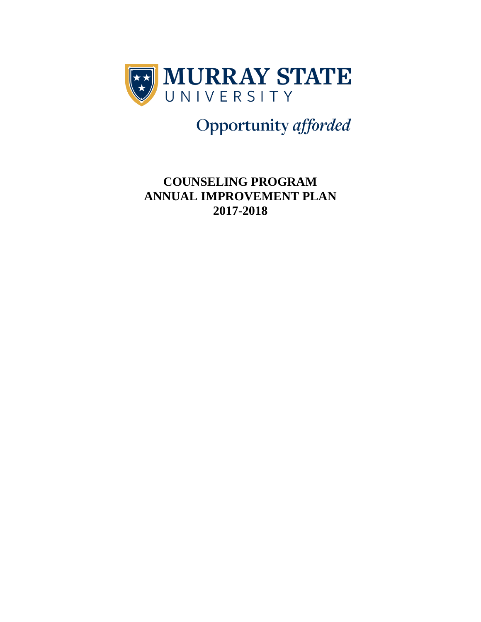

Opportunity afforded

## **COUNSELING PROGRAM ANNUAL IMPROVEMENT PLAN 2017-2018**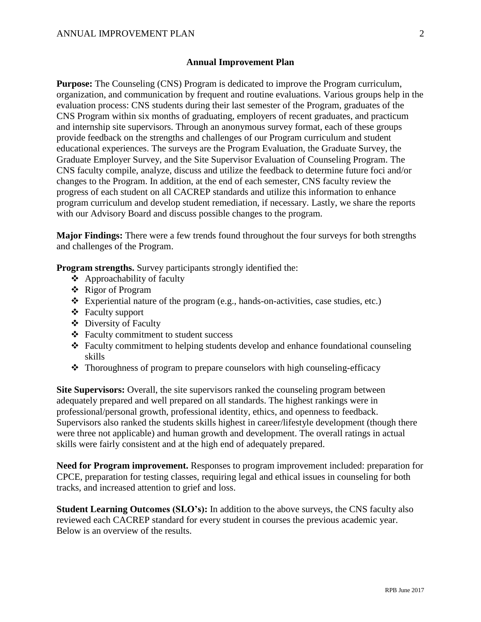## **Annual Improvement Plan**

**Purpose:** The Counseling (CNS) Program is dedicated to improve the Program curriculum, organization, and communication by frequent and routine evaluations. Various groups help in the evaluation process: CNS students during their last semester of the Program, graduates of the CNS Program within six months of graduating, employers of recent graduates, and practicum and internship site supervisors. Through an anonymous survey format, each of these groups provide feedback on the strengths and challenges of our Program curriculum and student educational experiences. The surveys are the Program Evaluation, the Graduate Survey, the Graduate Employer Survey, and the Site Supervisor Evaluation of Counseling Program. The CNS faculty compile, analyze, discuss and utilize the feedback to determine future foci and/or changes to the Program. In addition, at the end of each semester, CNS faculty review the progress of each student on all CACREP standards and utilize this information to enhance program curriculum and develop student remediation, if necessary. Lastly, we share the reports with our Advisory Board and discuss possible changes to the program.

**Major Findings:** There were a few trends found throughout the four surveys for both strengths and challenges of the Program.

**Program strengths.** Survey participants strongly identified the:

- Approachability of faculty
- Rigor of Program
- $\bullet$  Experiential nature of the program (e.g., hands-on-activities, case studies, etc.)
- Faculty support
- Diversity of Faculty
- Faculty commitment to student success
- Faculty commitment to helping students develop and enhance foundational counseling skills
- $\triangle$  Thoroughness of program to prepare counselors with high counseling-efficacy

**Site Supervisors:** Overall, the site supervisors ranked the counseling program between adequately prepared and well prepared on all standards. The highest rankings were in professional/personal growth, professional identity, ethics, and openness to feedback. Supervisors also ranked the students skills highest in career/lifestyle development (though there were three not applicable) and human growth and development. The overall ratings in actual skills were fairly consistent and at the high end of adequately prepared.

**Need for Program improvement.** Responses to program improvement included: preparation for CPCE, preparation for testing classes, requiring legal and ethical issues in counseling for both tracks, and increased attention to grief and loss.

**Student Learning Outcomes (SLO's):** In addition to the above surveys, the CNS faculty also reviewed each CACREP standard for every student in courses the previous academic year. Below is an overview of the results.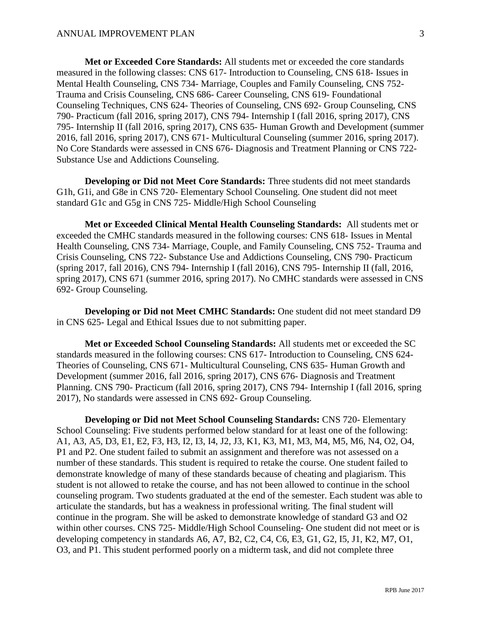**Met or Exceeded Core Standards:** All students met or exceeded the core standards measured in the following classes: CNS 617- Introduction to Counseling, CNS 618- Issues in Mental Health Counseling, CNS 734- Marriage, Couples and Family Counseling, CNS 752- Trauma and Crisis Counseling, CNS 686- Career Counseling, CNS 619- Foundational Counseling Techniques, CNS 624- Theories of Counseling, CNS 692- Group Counseling, CNS 790- Practicum (fall 2016, spring 2017), CNS 794- Internship I (fall 2016, spring 2017), CNS 795- Internship II (fall 2016, spring 2017), CNS 635- Human Growth and Development (summer 2016, fall 2016, spring 2017), CNS 671- Multicultural Counseling (summer 2016, spring 2017). No Core Standards were assessed in CNS 676- Diagnosis and Treatment Planning or CNS 722- Substance Use and Addictions Counseling.

**Developing or Did not Meet Core Standards:** Three students did not meet standards G1h, G1i, and G8e in CNS 720- Elementary School Counseling. One student did not meet standard G1c and G5g in CNS 725- Middle/High School Counseling

**Met or Exceeded Clinical Mental Health Counseling Standards:** All students met or exceeded the CMHC standards measured in the following courses: CNS 618- Issues in Mental Health Counseling, CNS 734- Marriage, Couple, and Family Counseling, CNS 752- Trauma and Crisis Counseling, CNS 722- Substance Use and Addictions Counseling, CNS 790- Practicum (spring 2017, fall 2016), CNS 794- Internship I (fall 2016), CNS 795- Internship II (fall, 2016, spring 2017), CNS 671 (summer 2016, spring 2017). No CMHC standards were assessed in CNS 692- Group Counseling.

**Developing or Did not Meet CMHC Standards:** One student did not meet standard D9 in CNS 625- Legal and Ethical Issues due to not submitting paper.

**Met or Exceeded School Counseling Standards:** All students met or exceeded the SC standards measured in the following courses: CNS 617- Introduction to Counseling, CNS 624- Theories of Counseling, CNS 671- Multicultural Counseling, CNS 635- Human Growth and Development (summer 2016, fall 2016, spring 2017), CNS 676- Diagnosis and Treatment Planning. CNS 790- Practicum (fall 2016, spring 2017), CNS 794- Internship I (fall 2016, spring 2017), No standards were assessed in CNS 692- Group Counseling.

**Developing or Did not Meet School Counseling Standards:** CNS 720- Elementary School Counseling: Five students performed below standard for at least one of the following: A1, A3, A5, D3, E1, E2, F3, H3, I2, I3, I4, J2, J3, K1, K3, M1, M3, M4, M5, M6, N4, O2, O4, P1 and P2. One student failed to submit an assignment and therefore was not assessed on a number of these standards. This student is required to retake the course. One student failed to demonstrate knowledge of many of these standards because of cheating and plagiarism. This student is not allowed to retake the course, and has not been allowed to continue in the school counseling program. Two students graduated at the end of the semester. Each student was able to articulate the standards, but has a weakness in professional writing. The final student will continue in the program. She will be asked to demonstrate knowledge of standard G3 and O2 within other courses. CNS 725- Middle/High School Counseling- One student did not meet or is developing competency in standards A6, A7, B2, C2, C4, C6, E3, G1, G2, I5, J1, K2, M7, O1, O3, and P1. This student performed poorly on a midterm task, and did not complete three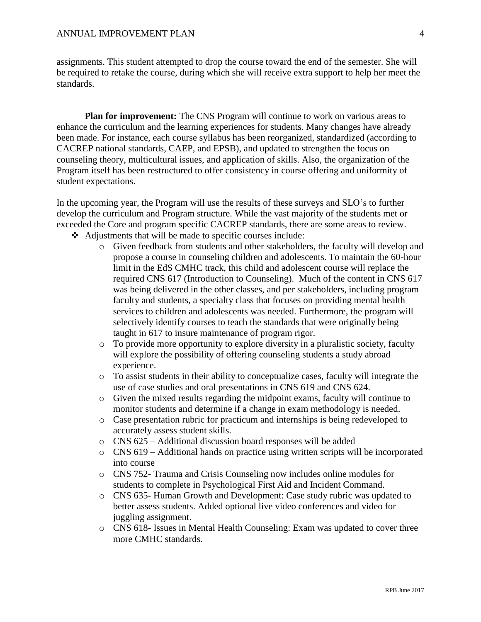assignments. This student attempted to drop the course toward the end of the semester. She will be required to retake the course, during which she will receive extra support to help her meet the standards.

**Plan for improvement:** The CNS Program will continue to work on various areas to enhance the curriculum and the learning experiences for students. Many changes have already been made. For instance, each course syllabus has been reorganized, standardized (according to CACREP national standards, CAEP, and EPSB), and updated to strengthen the focus on counseling theory, multicultural issues, and application of skills. Also, the organization of the Program itself has been restructured to offer consistency in course offering and uniformity of student expectations.

In the upcoming year, the Program will use the results of these surveys and SLO's to further develop the curriculum and Program structure. While the vast majority of the students met or exceeded the Core and program specific CACREP standards, there are some areas to review.

- Adjustments that will be made to specific courses include:
	- o Given feedback from students and other stakeholders, the faculty will develop and propose a course in counseling children and adolescents. To maintain the 60-hour limit in the EdS CMHC track, this child and adolescent course will replace the required CNS 617 (Introduction to Counseling). Much of the content in CNS 617 was being delivered in the other classes, and per stakeholders, including program faculty and students, a specialty class that focuses on providing mental health services to children and adolescents was needed. Furthermore, the program will selectively identify courses to teach the standards that were originally being taught in 617 to insure maintenance of program rigor.
	- o To provide more opportunity to explore diversity in a pluralistic society, faculty will explore the possibility of offering counseling students a study abroad experience.
	- o To assist students in their ability to conceptualize cases, faculty will integrate the use of case studies and oral presentations in CNS 619 and CNS 624.
	- o Given the mixed results regarding the midpoint exams, faculty will continue to monitor students and determine if a change in exam methodology is needed.
	- o Case presentation rubric for practicum and internships is being redeveloped to accurately assess student skills.
	- o CNS 625 Additional discussion board responses will be added
	- o CNS 619 Additional hands on practice using written scripts will be incorporated into course
	- o CNS 752- Trauma and Crisis Counseling now includes online modules for students to complete in Psychological First Aid and Incident Command.
	- o CNS 635- Human Growth and Development: Case study rubric was updated to better assess students. Added optional live video conferences and video for juggling assignment.
	- o CNS 618- Issues in Mental Health Counseling: Exam was updated to cover three more CMHC standards.